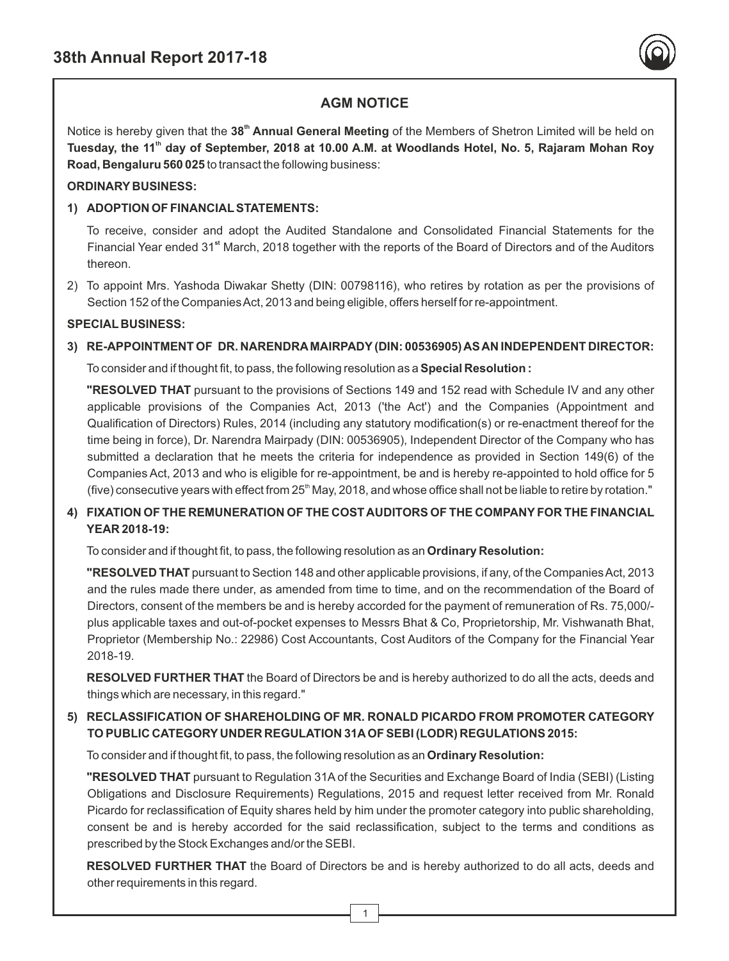

# **AGM NOTICE**

Notice is hereby given that the 38<sup>th</sup> Annual General Meeting of the Members of Shetron Limited will be held on **th Tuesday, the 11 day of September, 2018 at 10.00 A.M. at Woodlands Hotel, No. 5, Rajaram Mohan Roy Road, Bengaluru 560 025** to transact the following business:

### **ORDINARY BUSINESS:**

### **1) ADOPTION OF FINANCIALSTATEMENTS:**

To receive, consider and adopt the Audited Standalone and Consolidated Financial Statements for the Financial Year ended 31<sup>st</sup> March, 2018 together with the reports of the Board of Directors and of the Auditors thereon.

2) To appoint Mrs. Yashoda Diwakar Shetty (DIN: 00798116), who retires by rotation as per the provisions of Section 152 of the Companies Act, 2013 and being eligible, offers herself for re-appointment.

#### **SPECIAL BUSINESS:**

### **3) RE-APPOINTMENT OF DR. NARENDRAMAIRPADY(DIN: 00536905) AS AN INDEPENDENT DIRECTOR:**

To consider and if thought fit, to pass, the following resolution as a **Special Resolution :** 

**"RESOLVED THAT** pursuant to the provisions of Sections 149 and 152 read with Schedule IV and any other applicable provisions of the Companies Act, 2013 ('the Act') and the Companies (Appointment and Qualification of Directors) Rules, 2014 (including any statutory modification(s) or re-enactment thereof for the time being in force), Dr. Narendra Mairpady (DIN: 00536905), Independent Director of the Company who has submitted a declaration that he meets the criteria for independence as provided in Section 149(6) of the Companies Act, 2013 and who is eligible for re-appointment, be and is hereby re-appointed to hold office for 5 (five) consecutive years with effect from 25<sup>th</sup> May, 2018, and whose office shall not be liable to retire by rotation."

## **4) FIXATION OF THE REMUNERATION OF THE COST AUDITORS OF THE COMPANYFOR THE FINANCIAL YEAR 2018-19:**

To consider and if thought fit, to pass, the following resolution as an **Ordinary Resolution:** 

**"RESOLVED THAT** pursuant to Section 148 and other applicable provisions, if any, of the Companies Act, 2013 and the rules made there under, as amended from time to time, and on the recommendation of the Board of Directors, consent of the members be and is hereby accorded for the payment of remuneration of Rs. 75,000/ plus applicable taxes and out-of-pocket expenses to Messrs Bhat & Co, Proprietorship, Mr. Vishwanath Bhat, Proprietor (Membership No.: 22986) Cost Accountants, Cost Auditors of the Company for the Financial Year 2018-19.

**RESOLVED FURTHER THAT** the Board of Directors be and is hereby authorized to do all the acts, deeds and things which are necessary, in this regard."

## **5) RECLASSIFICATION OF SHAREHOLDING OF MR. RONALD PICARDO FROM PROMOTER CATEGORY TO PUBLIC CATEGORY UNDER REGULATION 31AOF SEBI (LODR) REGULATIONS 2015:**

To consider and if thought fit, to pass, the following resolution as an **Ordinary Resolution:**

**"RESOLVED THAT** pursuant to Regulation 31A of the Securities and Exchange Board of India (SEBI) (Listing Obligations and Disclosure Requirements) Regulations, 2015 and request letter received from Mr. Ronald Picardo for reclassification of Equity shares held by him under the promoter category into public shareholding, consent be and is hereby accorded for the said reclassification, subject to the terms and conditions as prescribed by the Stock Exchanges and/or the SEBI.

**RESOLVED FURTHER THAT** the Board of Directors be and is hereby authorized to do all acts, deeds and other requirements in this regard.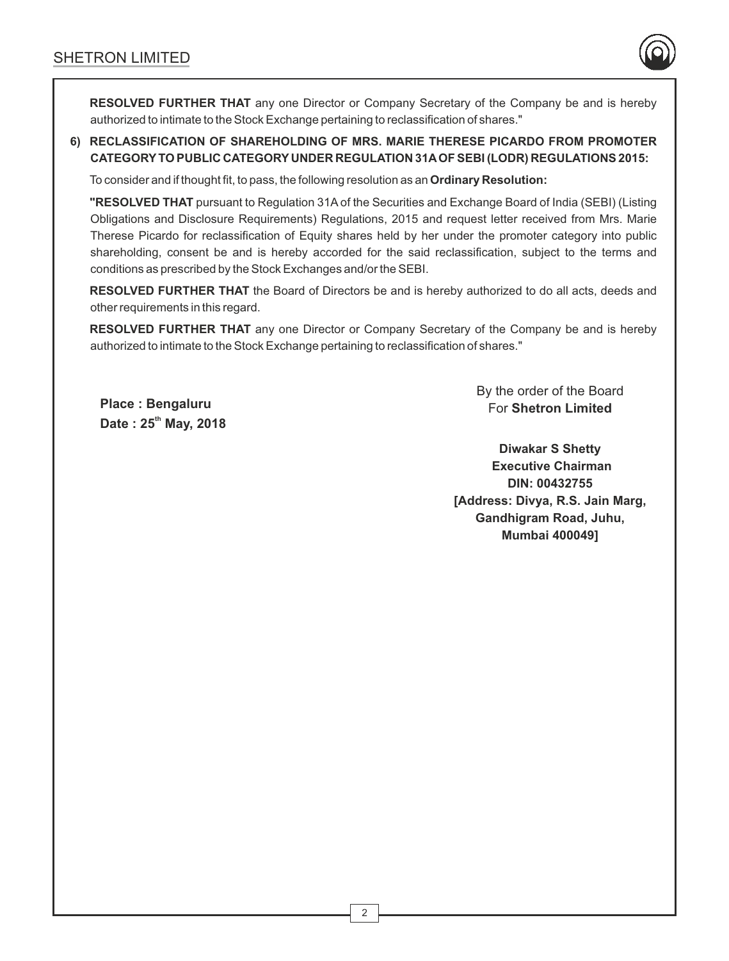

**RESOLVED FURTHER THAT** any one Director or Company Secretary of the Company be and is hereby authorized to intimate to the Stock Exchange pertaining to reclassification of shares."

## **6) RECLASSIFICATION OF SHAREHOLDING OF MRS. MARIE THERESE PICARDO FROM PROMOTER CATEGORYTO PUBLIC CATEGORY UNDER REGULATION 31AOF SEBI (LODR) REGULATIONS 2015:**

To consider and if thought fit, to pass, the following resolution as an **Ordinary Resolution:**

**"RESOLVED THAT** pursuant to Regulation 31Aof the Securities and Exchange Board of India (SEBI) (Listing Obligations and Disclosure Requirements) Regulations, 2015 and request letter received from Mrs. Marie Therese Picardo for reclassification of Equity shares held by her under the promoter category into public shareholding, consent be and is hereby accorded for the said reclassification, subject to the terms and conditions as prescribed by the Stock Exchanges and/or the SEBI.

**RESOLVED FURTHER THAT** the Board of Directors be and is hereby authorized to do all acts, deeds and other requirements in this regard.

**RESOLVED FURTHER THAT** any one Director or Company Secretary of the Company be and is hereby authorized to intimate to the Stock Exchange pertaining to reclassification of shares."

**Place : Bengaluru th Date : 25 May, 2018**  By the order of the Board For **Shetron Limited**

**Diwakar S Shetty Executive Chairman DIN: 00432755 [Address: Divya, R.S. Jain Marg, Gandhigram Road, Juhu, Mumbai 400049]**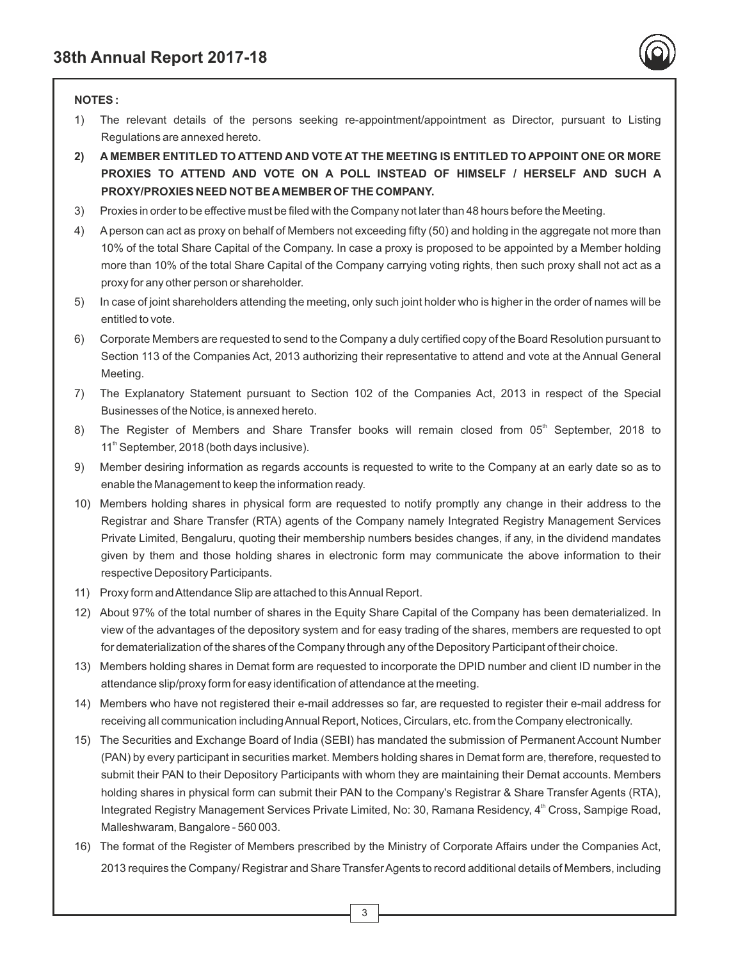

#### **NOTES :**

- 1) The relevant details of the persons seeking re-appointment/appointment as Director, pursuant to Listing Regulations are annexed hereto.
- **2) A MEMBER ENTITLED TO ATTEND AND VOTE AT THE MEETING IS ENTITLED TO APPOINT ONE OR MORE PROXIES TO ATTEND AND VOTE ON A POLL INSTEAD OF HIMSELF / HERSELF AND SUCH A PROXY/PROXIES NEED NOT BE AMEMBER OF THE COMPANY.**
- 3) Proxies in order to be effective must be filed with the Company not later than 48 hours before the Meeting.
- 4) Aperson can act as proxy on behalf of Members not exceeding fifty (50) and holding in the aggregate not more than 10% of the total Share Capital of the Company. In case a proxy is proposed to be appointed by a Member holding more than 10% of the total Share Capital of the Company carrying voting rights, then such proxy shall not act as a proxy for any other person or shareholder.
- 5) In case of joint shareholders attending the meeting, only such joint holder who is higher in the order of names will be entitled to vote.
- 6) Corporate Members are requested to send to the Company a duly certified copy of the Board Resolution pursuant to Section 113 of the Companies Act, 2013 authorizing their representative to attend and vote at the Annual General Meeting.
- 7) The Explanatory Statement pursuant to Section 102 of the Companies Act, 2013 in respect of the Special Businesses of the Notice, is annexed hereto.
- 8) The Register of Members and Share Transfer books will remain closed from 05<sup>th</sup> September, 2018 to  $11<sup>th</sup>$  September, 2018 (both days inclusive).
- 9) Member desiring information as regards accounts is requested to write to the Company at an early date so as to enable the Management to keep the information ready.
- 10) Members holding shares in physical form are requested to notify promptly any change in their address to the Registrar and Share Transfer (RTA) agents of the Company namely Integrated Registry Management Services Private Limited, Bengaluru, quoting their membership numbers besides changes, if any, in the dividend mandates given by them and those holding shares in electronic form may communicate the above information to their respective Depository Participants.
- 11) Proxy form and Attendance Slip are attached to this Annual Report.
- 12) About 97% of the total number of shares in the Equity Share Capital of the Company has been dematerialized. In view of the advantages of the depository system and for easy trading of the shares, members are requested to opt for dematerialization of the shares of the Company through any of the Depository Participant of their choice.
- 13) Members holding shares in Demat form are requested to incorporate the DPID number and client ID number in the attendance slip/proxy form for easy identification of attendance at the meeting.
- 14) Members who have not registered their e-mail addresses so far, are requested to register their e-mail address for receiving all communication including Annual Report, Notices, Circulars, etc. from the Company electronically.
- 15) The Securities and Exchange Board of India (SEBI) has mandated the submission of Permanent Account Number (PAN) by every participant in securities market. Members holding shares in Demat form are, therefore, requested to submit their PAN to their Depository Participants with whom they are maintaining their Demat accounts. Members holding shares in physical form can submit their PAN to the Company's Registrar & Share Transfer Agents (RTA), Integrated Registry Management Services Private Limited, No: 30, Ramana Residency, 4<sup>th</sup> Cross, Sampige Road, Malleshwaram, Bangalore - 560 003.
- 16) The format of the Register of Members prescribed by the Ministry of Corporate Affairs under the Companies Act, 2013 requires the Company/ Registrar and Share Transfer Agents to record additional details of Members, including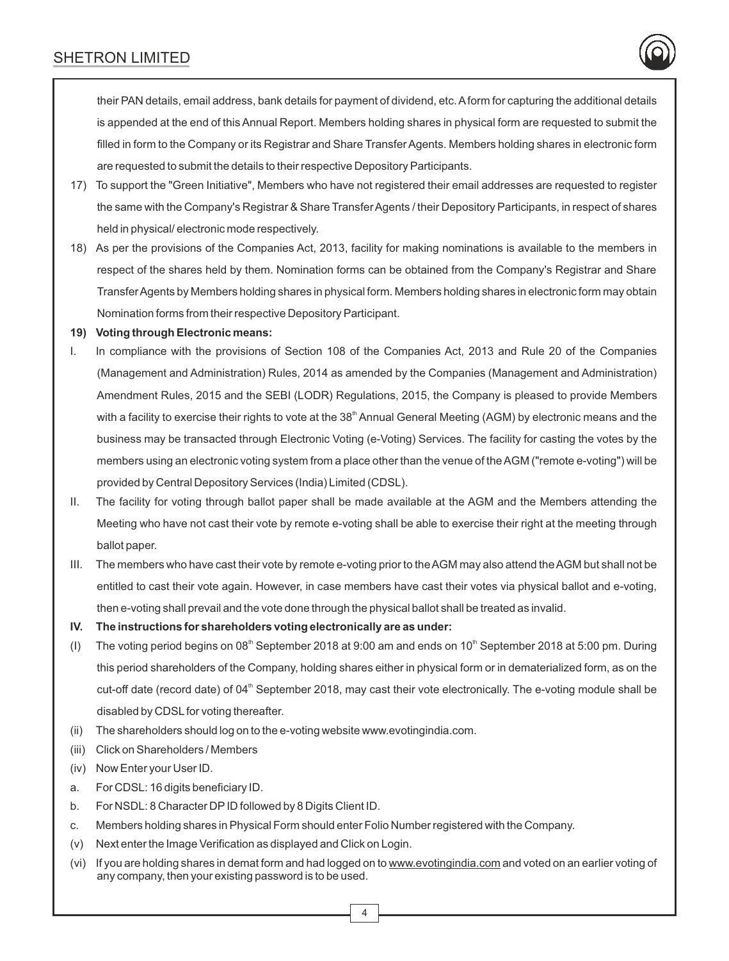their PAN details, email address, bank details for payment of dividend, etc. Aform for capturing the additional details is appended at the end of this Annual Report. Members holding shares in physical form are requested to submit the filled in form to the Company or its Registrar and Share Transfer Agents. Members holding shares in electronic form are requested to submit the details to their respective Depository Participants.

- 17) To support the "Green Initiative", Members who have not registered their email addresses are requested to register the same with the Company's Registrar & Share Transfer Agents / their Depository Participants, in respect of shares held in physical/ electronic mode respectively.
- 18) As per the provisions of the Companies Act, 2013, facility for making nominations is available to the members in respect of the shares held by them. Nomination forms can be obtained from the Company's Registrar and Share Transfer Agents by Members holding shares in physical form. Members holding shares in electronic form may obtain Nomination forms from their respective Depository Participant.

#### **19) Voting through Electronic means:**

- I. In compliance with the provisions of Section 108 of the Companies Act, 2013 and Rule 20 of the Companies (Management and Administration) Rules, 2014 as amended by the Companies (Management and Administration) Amendment Rules, 2015 and the SEBI (LODR) Regulations, 2015, the Company is pleased to provide Members with a facility to exercise their rights to vote at the 38<sup>th</sup> Annual General Meeting (AGM) by electronic means and the business may be transacted through Electronic Voting (e-Voting) Services. The facility for casting the votes by the members using an electronic voting system from a place other than the venue of the AGM ("remote e-voting") will be provided by Central Depository Services (India) Limited (CDSL).
- II. The facility for voting through ballot paper shall be made available at the AGM and the Members attending the Meeting who have not cast their vote by remote e-voting shall be able to exercise their right at the meeting through ballot paper.
- III. The members who have cast their vote by remote e-voting prior to the AGM may also attend the AGM but shall not be entitled to cast their vote again. However, in case members have cast their votes via physical ballot and e-voting, then e-voting shall prevail and the vote done through the physical ballot shall be treated as invalid.
- **IV. The instructions for shareholders voting electronically are as under:**
- (I) The voting period begins on 08<sup>th</sup> September 2018 at 9:00 am and ends on 10<sup>th</sup> September 2018 at 5:00 pm. During this period shareholders of the Company, holding shares either in physical form or in dematerialized form, as on the cut-off date (record date) of  $04<sup>th</sup>$  September 2018, may cast their vote electronically. The e-voting module shall be disabled by CDSLfor voting thereafter.
- (ii) The shareholders should log on to the e-voting website www.evotingindia.com.
- (iii) Click on Shareholders / Members
- (iv) Now Enter your User ID.
- a. For CDSL: 16 digits beneficiary ID.
- b. For NSDL: 8 Character DPID followed by 8 Digits Client ID.
- c. Members holding shares in Physical Form should enter Folio Number registered with the Company.
- (v) Next enter the Image Verification as displayed and Click on Login.
- (vi) If you are holding shares in demat form and had logged on to www.evotingindia.com and voted on an earlier voting of any company, then your existing password is to be used.

4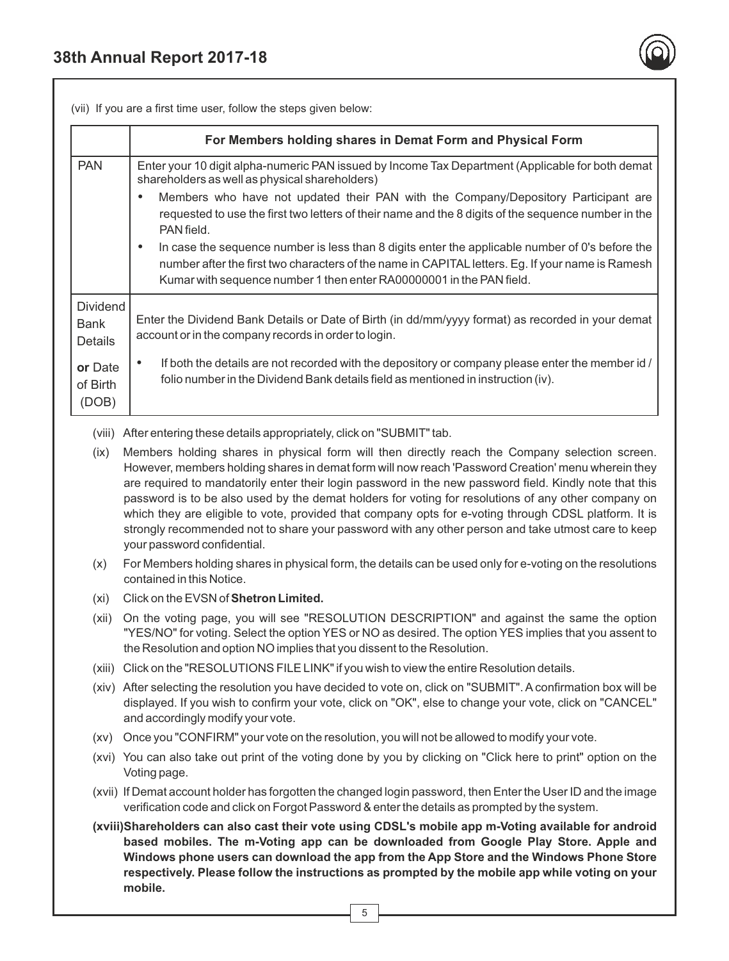

(vii) If you are a first time user, follow the steps given below:

|                                                                           | For Members holding shares in Demat Form and Physical Form                                                                                                                                                                                                                                                                                                                                                                                                                                                                                                                                                                                                                   |  |  |
|---------------------------------------------------------------------------|------------------------------------------------------------------------------------------------------------------------------------------------------------------------------------------------------------------------------------------------------------------------------------------------------------------------------------------------------------------------------------------------------------------------------------------------------------------------------------------------------------------------------------------------------------------------------------------------------------------------------------------------------------------------------|--|--|
| <b>PAN</b>                                                                | Enter your 10 digit alpha-numeric PAN issued by Income Tax Department (Applicable for both demat<br>shareholders as well as physical shareholders)                                                                                                                                                                                                                                                                                                                                                                                                                                                                                                                           |  |  |
|                                                                           | Members who have not updated their PAN with the Company/Depository Participant are<br>$\bullet$                                                                                                                                                                                                                                                                                                                                                                                                                                                                                                                                                                              |  |  |
|                                                                           | requested to use the first two letters of their name and the 8 digits of the sequence number in the<br>PAN field.                                                                                                                                                                                                                                                                                                                                                                                                                                                                                                                                                            |  |  |
|                                                                           | In case the sequence number is less than 8 digits enter the applicable number of 0's before the<br>٠<br>number after the first two characters of the name in CAPITAL letters. Eg. If your name is Ramesh<br>Kumar with sequence number 1 then enter RA00000001 in the PAN field.                                                                                                                                                                                                                                                                                                                                                                                             |  |  |
| <b>Dividend</b>                                                           |                                                                                                                                                                                                                                                                                                                                                                                                                                                                                                                                                                                                                                                                              |  |  |
| <b>Bank</b><br><b>Details</b>                                             | Enter the Dividend Bank Details or Date of Birth (in dd/mm/yyyy format) as recorded in your demat<br>account or in the company records in order to login.                                                                                                                                                                                                                                                                                                                                                                                                                                                                                                                    |  |  |
| or Date<br>of Birth<br>(DOB)                                              | If both the details are not recorded with the depository or company please enter the member id /<br>$\bullet$<br>folio number in the Dividend Bank details field as mentioned in instruction (iv).                                                                                                                                                                                                                                                                                                                                                                                                                                                                           |  |  |
| (viii) After entering these details appropriately, click on "SUBMIT" tab. |                                                                                                                                                                                                                                                                                                                                                                                                                                                                                                                                                                                                                                                                              |  |  |
|                                                                           | Members holding shares in physical form will then directly reach the Company selection screen.<br>(ix)<br>However, members holding shares in demat form will now reach 'Password Creation' menu wherein they<br>are required to mandatorily enter their login password in the new password field. Kindly note that this<br>password is to be also used by the demat holders for voting for resolutions of any other company on<br>which they are eligible to vote, provided that company opts for e-voting through CDSL platform. It is<br>strongly recommended not to share your password with any other person and take utmost care to keep<br>your password confidential. |  |  |
| (x)                                                                       | For Members holding shares in physical form, the details can be used only for e-voting on the resolutions<br>contained in this Notice.                                                                                                                                                                                                                                                                                                                                                                                                                                                                                                                                       |  |  |
| (xi)                                                                      | Click on the EVSN of Shetron Limited.                                                                                                                                                                                                                                                                                                                                                                                                                                                                                                                                                                                                                                        |  |  |
| (xii)                                                                     | On the voting page, you will see "RESOLUTION DESCRIPTION" and against the same the option<br>"YES/NO" for voting. Select the option YES or NO as desired. The option YES implies that you assent to<br>the Resolution and option NO implies that you dissent to the Resolution.                                                                                                                                                                                                                                                                                                                                                                                              |  |  |
|                                                                           | (xiii) Click on the "RESOLUTIONS FILE LINK" if you wish to view the entire Resolution details.                                                                                                                                                                                                                                                                                                                                                                                                                                                                                                                                                                               |  |  |
|                                                                           | (xiv) After selecting the resolution you have decided to vote on, click on "SUBMIT". A confirmation box will be<br>displayed. If you wish to confirm your vote, click on "OK", else to change your vote, click on "CANCEL"<br>and accordingly modify your vote.                                                                                                                                                                                                                                                                                                                                                                                                              |  |  |
| (xy)                                                                      | Once you "CONFIRM" your vote on the resolution, you will not be allowed to modify your vote.                                                                                                                                                                                                                                                                                                                                                                                                                                                                                                                                                                                 |  |  |
|                                                                           | (xvi) You can also take out print of the voting done by you by clicking on "Click here to print" option on the<br>Voting page.                                                                                                                                                                                                                                                                                                                                                                                                                                                                                                                                               |  |  |
|                                                                           | (xvii) If Demat account holder has forgotten the changed login password, then Enter the User ID and the image<br>verification code and click on Forgot Password & enter the details as prompted by the system.                                                                                                                                                                                                                                                                                                                                                                                                                                                               |  |  |
|                                                                           | (xviii)Shareholders can also cast their vote using CDSL's mobile app m-Voting available for android<br>based mobiles. The m-Voting app can be downloaded from Google Play Store. Apple and<br>Windows phone users can download the app from the App Store and the Windows Phone Store<br>respectively. Please follow the instructions as prompted by the mobile app while voting on your<br>mobile.                                                                                                                                                                                                                                                                          |  |  |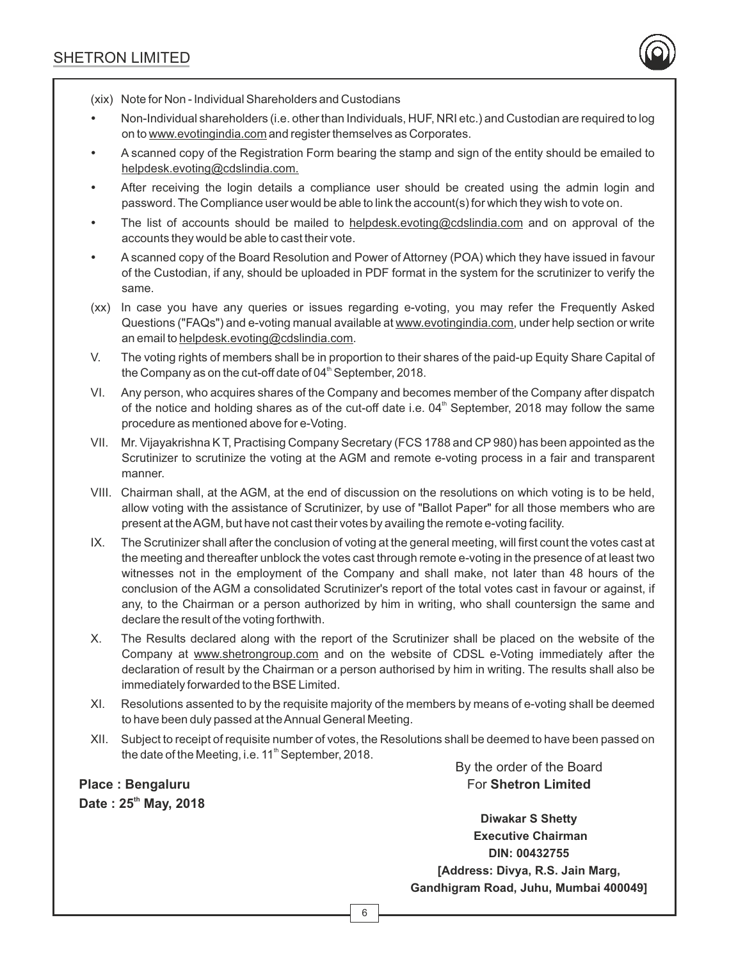

(xix) Note for Non - Individual Shareholders and Custodians

- Non-Individual shareholders (i.e. other than Individuals, HUF, NRI etc.) and Custodian are required to log on to www.evotingindia.com and register themselves as Corporates.
- A scanned copy of the Registration Form bearing the stamp and sign of the entity should be emailed to helpdesk.evoting@cdslindia.com.
- After receiving the login details a compliance user should be created using the admin login and password. The Compliance user would be able to link the account(s) for which they wish to vote on.
- The list of accounts should be mailed to helpdesk.evoting@cdslindia.com and on approval of the accounts they would be able to cast their vote.
- A scanned copy of the Board Resolution and Power of Attorney (POA) which they have issued in favour of the Custodian, if any, should be uploaded in PDF format in the system for the scrutinizer to verify the same.
- (xx) In case you have any queries or issues regarding e-voting, you may refer the Frequently Asked Questions ("FAQs") and e-voting manual available at www.evotingindia.com, under help section or write an email to helpdesk.evoting@cdslindia.com.
- V. The voting rights of members shall be in proportion to their shares of the paid-up Equity Share Capital of the Company as on the cut-off date of  $04<sup>th</sup>$  September, 2018.
- VI. Any person, who acquires shares of the Company and becomes member of the Company after dispatch of the notice and holding shares as of the cut-off date i.e.  $04<sup>th</sup>$  September, 2018 may follow the same procedure as mentioned above for e-Voting.
- VII. Mr. Vijayakrishna K T, Practising Company Secretary (FCS 1788 and CP980) has been appointed as the Scrutinizer to scrutinize the voting at the AGM and remote e-voting process in a fair and transparent manner.
- VIII. Chairman shall, at the AGM, at the end of discussion on the resolutions on which voting is to be held, allow voting with the assistance of Scrutinizer, by use of "Ballot Paper" for all those members who are present at the AGM, but have not cast their votes by availing the remote e-voting facility.
- IX. The Scrutinizer shall after the conclusion of voting at the general meeting, will first count the votes cast at the meeting and thereafter unblock the votes cast through remote e-voting in the presence of at least two witnesses not in the employment of the Company and shall make, not later than 48 hours of the conclusion of the AGM a consolidated Scrutinizer's report of the total votes cast in favour or against, if any, to the Chairman or a person authorized by him in writing, who shall countersign the same and declare the result of the voting forthwith.
- X. The Results declared along with the report of the Scrutinizer shall be placed on the website of the Company at www.shetrongroup.com and on the website of CDSL e-Voting immediately after the declaration of result by the Chairman or a person authorised by him in writing. The results shall also be immediately forwarded to the BSE Limited.
- XI. Resolutions assented to by the requisite majority of the members by means of e-voting shall be deemed to have been duly passed at the Annual General Meeting.
- XII. Subject to receipt of requisite number of votes, the Resolutions shall be deemed to have been passed on the date of the Meeting, i.e. 11<sup>th</sup> September, 2018.

**Place : Bengaluru th Date : 25 May, 2018**  By the order of the Board For **Shetron Limited**

**Diwakar S Shetty Executive Chairman DIN: 00432755 [Address: Divya, R.S. Jain Marg, Gandhigram Road, Juhu, Mumbai 400049]**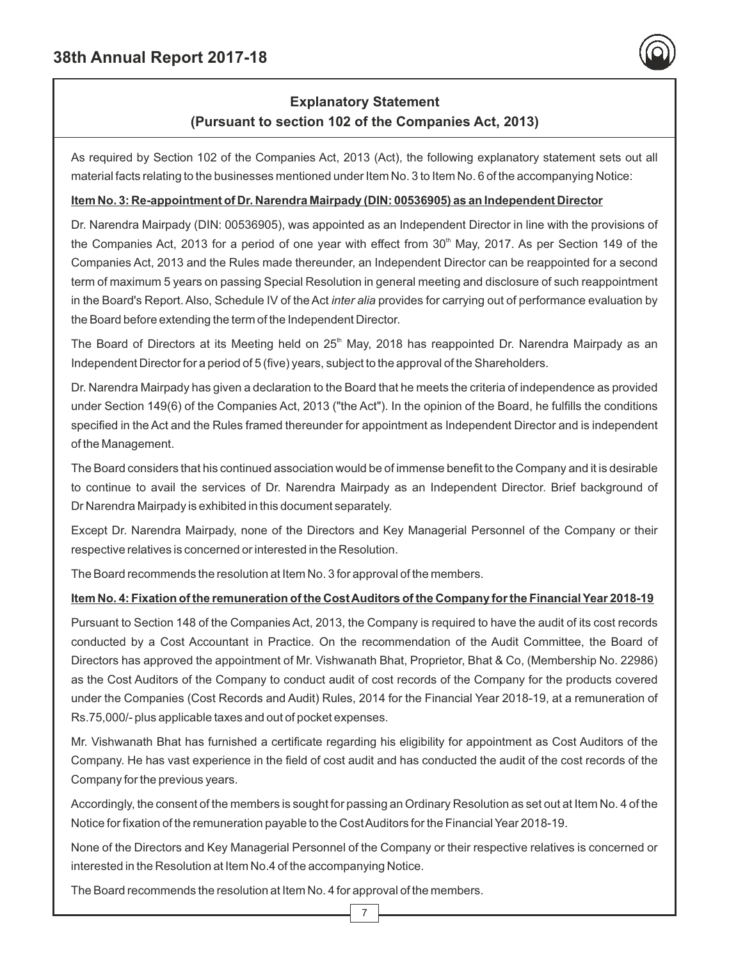

# **Explanatory Statement (Pursuant to section 102 of the Companies Act, 2013)**

As required by Section 102 of the Companies Act, 2013 (Act), the following explanatory statement sets out all material facts relating to the businesses mentioned under Item No. 3 to Item No. 6 of the accompanying Notice:

#### **Item No. 3: Re-appointment of Dr. Narendra Mairpady (DIN: 00536905) as an Independent Director**

Dr. Narendra Mairpady (DIN: 00536905), was appointed as an Independent Director in line with the provisions of the Companies Act, 2013 for a period of one year with effect from 30<sup>th</sup> May, 2017. As per Section 149 of the Companies Act, 2013 and the Rules made thereunder, an Independent Director can be reappointed for a second term of maximum 5 years on passing Special Resolution in general meeting and disclosure of such reappointment in the Board's Report. Also, Schedule IV of the Act *inter alia* provides for carrying out of performance evaluation by the Board before extending the term of the Independent Director.

The Board of Directors at its Meeting held on 25<sup>th</sup> May, 2018 has reappointed Dr. Narendra Mairpady as an Independent Director for a period of 5 (five) years, subject to the approval of the Shareholders.

Dr. Narendra Mairpady has given a declaration to the Board that he meets the criteria of independence as provided under Section 149(6) of the Companies Act, 2013 ("the Act"). In the opinion of the Board, he fulfills the conditions specified in the Act and the Rules framed thereunder for appointment as Independent Director and is independent of the Management.

The Board considers that his continued association would be of immense benefit to the Company and it is desirable to continue to avail the services of Dr. Narendra Mairpady as an Independent Director. Brief background of Dr Narendra Mairpady is exhibited in this document separately.

Except Dr. Narendra Mairpady, none of the Directors and Key Managerial Personnel of the Company or their respective relatives is concerned or interested in the Resolution.

The Board recommends the resolution at Item No. 3 for approval of the members.

#### **Item No. 4: Fixation of the remuneration of the Cost Auditors of the Company for the Financial Year 2018-19**

Pursuant to Section 148 of the Companies Act, 2013, the Company is required to have the audit of its cost records conducted by a Cost Accountant in Practice. On the recommendation of the Audit Committee, the Board of Directors has approved the appointment of Mr. Vishwanath Bhat, Proprietor, Bhat & Co, (Membership No. 22986) as the Cost Auditors of the Company to conduct audit of cost records of the Company for the products covered under the Companies (Cost Records and Audit) Rules, 2014 for the Financial Year 2018-19, at a remuneration of Rs.75,000/- plus applicable taxes and out of pocket expenses.

Mr. Vishwanath Bhat has furnished a certificate regarding his eligibility for appointment as Cost Auditors of the Company. He has vast experience in the field of cost audit and has conducted the audit of the cost records of the Company for the previous years.

Accordingly, the consent of the members is sought for passing an Ordinary Resolution as set out at Item No. 4 of the Notice for fixation of the remuneration payable to the Cost Auditors for the Financial Year 2018-19.

None of the Directors and Key Managerial Personnel of the Company or their respective relatives is concerned or interested in the Resolution at Item No.4 of the accompanying Notice.

The Board recommends the resolution at Item No. 4 for approval of the members.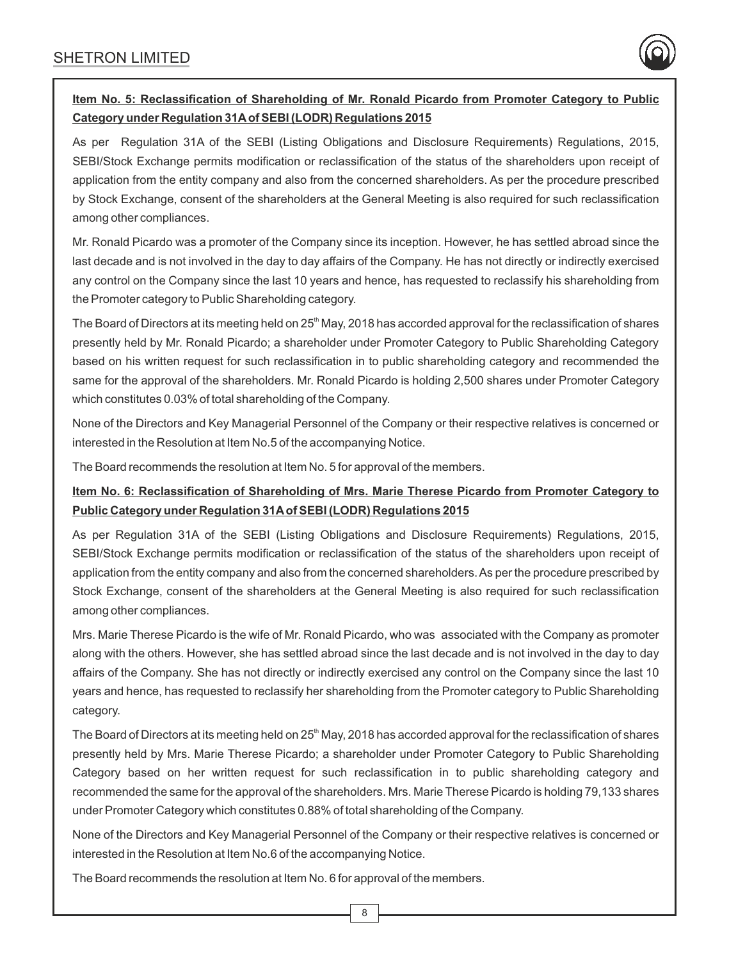

## **Item No. 5: Reclassification of Shareholding of Mr. Ronald Picardo from Promoter Category to Public Category under Regulation 31Aof SEBI (LODR) Regulations 2015**

As per Regulation 31A of the SEBI (Listing Obligations and Disclosure Requirements) Regulations, 2015, SEBI/Stock Exchange permits modification or reclassification of the status of the shareholders upon receipt of application from the entity company and also from the concerned shareholders. As per the procedure prescribed by Stock Exchange, consent of the shareholders at the General Meeting is also required for such reclassification among other compliances.

Mr. Ronald Picardo was a promoter of the Company since its inception. However, he has settled abroad since the last decade and is not involved in the day to day affairs of the Company. He has not directly or indirectly exercised any control on the Company since the last 10 years and hence, has requested to reclassify his shareholding from the Promoter category to Public Shareholding category.

The Board of Directors at its meeting held on  $25<sup>th</sup>$  May, 2018 has accorded approval for the reclassification of shares presently held by Mr. Ronald Picardo; a shareholder under Promoter Category to Public Shareholding Category based on his written request for such reclassification in to public shareholding category and recommended the same for the approval of the shareholders. Mr. Ronald Picardo is holding 2,500 shares under Promoter Category which constitutes 0.03% of total shareholding of the Company.

None of the Directors and Key Managerial Personnel of the Company or their respective relatives is concerned or interested in the Resolution at Item No.5 of the accompanying Notice.

The Board recommends the resolution at Item No. 5 for approval of the members.

## **Item No. 6: Reclassification of Shareholding of Mrs. Marie Therese Picardo from Promoter Category to Public Category under Regulation 31Aof SEBI (LODR) Regulations 2015**

As per Regulation 31A of the SEBI (Listing Obligations and Disclosure Requirements) Regulations, 2015, SEBI/Stock Exchange permits modification or reclassification of the status of the shareholders upon receipt of application from the entity company and also from the concerned shareholders. As per the procedure prescribed by Stock Exchange, consent of the shareholders at the General Meeting is also required for such reclassification among other compliances.

Mrs. Marie Therese Picardo is the wife of Mr. Ronald Picardo, who was associated with the Company as promoter along with the others. However, she has settled abroad since the last decade and is not involved in the day to day affairs of the Company. She has not directly or indirectly exercised any control on the Company since the last 10 years and hence, has requested to reclassify her shareholding from the Promoter category to Public Shareholding category.

The Board of Directors at its meeting held on 25<sup>th</sup> May, 2018 has accorded approval for the reclassification of shares presently held by Mrs. Marie Therese Picardo; a shareholder under Promoter Category to Public Shareholding Category based on her written request for such reclassification in to public shareholding category and recommended the same for the approval of the shareholders. Mrs. Marie Therese Picardo is holding 79,133 shares under Promoter Category which constitutes 0.88% of total shareholding of the Company.

None of the Directors and Key Managerial Personnel of the Company or their respective relatives is concerned or interested in the Resolution at Item No.6 of the accompanying Notice.

The Board recommends the resolution at Item No. 6 for approval of the members.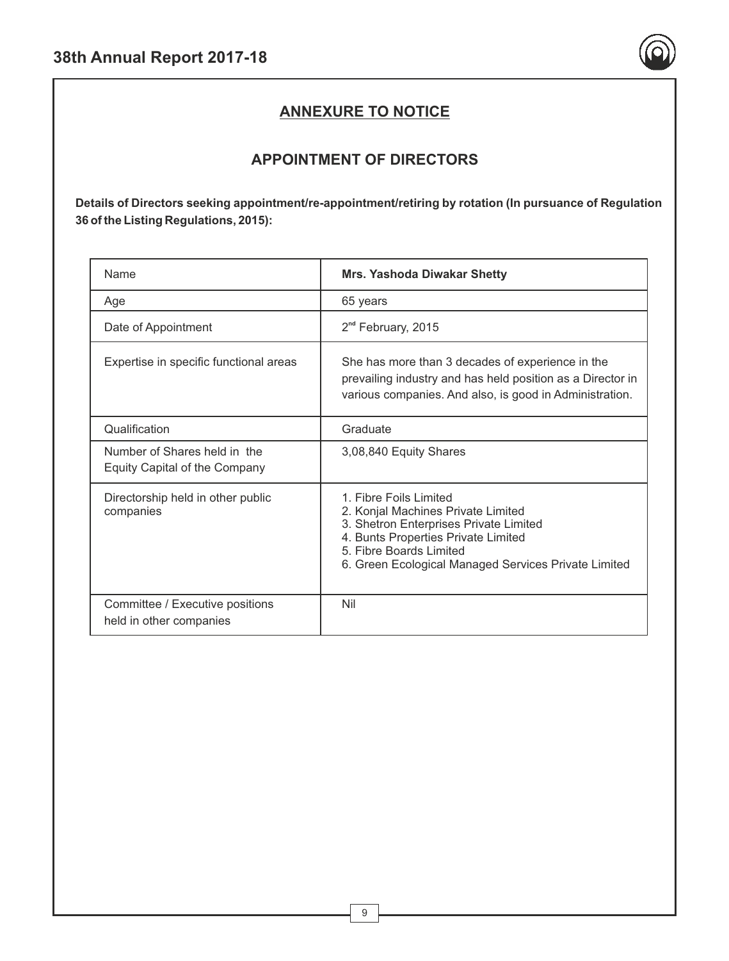

# **ANNEXURE TO NOTICE**

# **APPOINTMENT OF DIRECTORS**

**Details of Directors seeking appointment/re-appointment/retiring by rotation (In pursuance of Regulation 36 of the Listing Regulations, 2015):**

| Name                                                          | <b>Mrs. Yashoda Diwakar Shetty</b>                                                                                                                                                                                               |
|---------------------------------------------------------------|----------------------------------------------------------------------------------------------------------------------------------------------------------------------------------------------------------------------------------|
| Age                                                           | 65 years                                                                                                                                                                                                                         |
| Date of Appointment                                           | 2 <sup>nd</sup> February, 2015                                                                                                                                                                                                   |
| Expertise in specific functional areas                        | She has more than 3 decades of experience in the<br>prevailing industry and has held position as a Director in<br>various companies. And also, is good in Administration.                                                        |
| Qualification                                                 | Graduate                                                                                                                                                                                                                         |
| Number of Shares held in the<br>Equity Capital of the Company | 3,08,840 Equity Shares                                                                                                                                                                                                           |
| Directorship held in other public<br>companies                | 1. Fibre Foils Limited<br>2. Konjal Machines Private Limited<br>3. Shetron Enterprises Private Limited<br>4. Bunts Properties Private Limited<br>5. Fibre Boards Limited<br>6. Green Ecological Managed Services Private Limited |
| Committee / Executive positions<br>held in other companies    | Nil                                                                                                                                                                                                                              |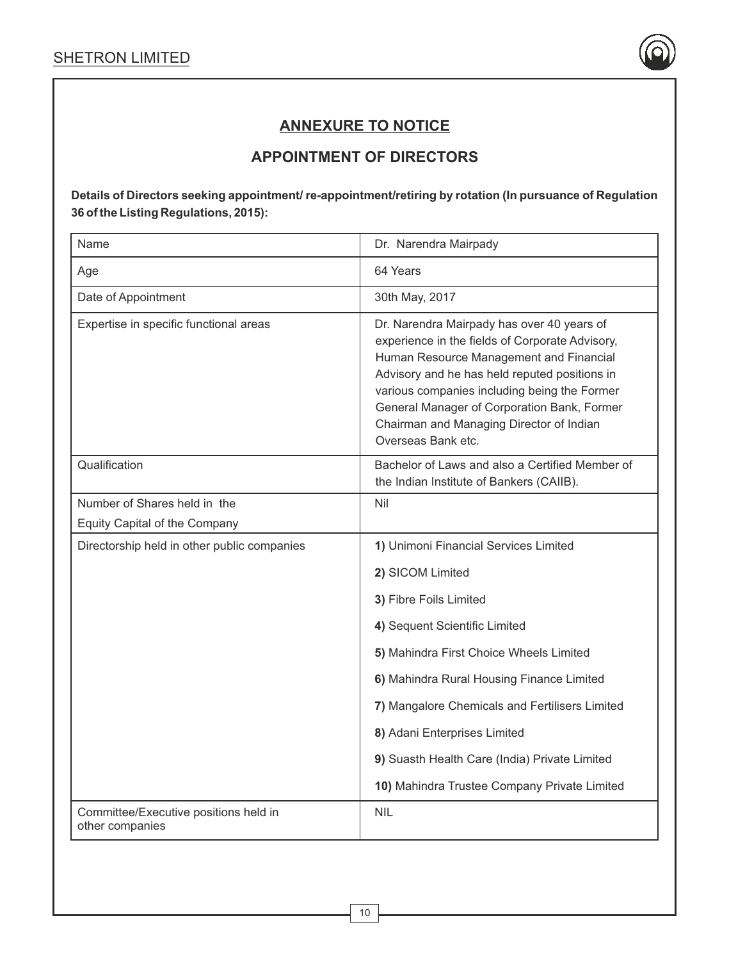

# **ANNEXURE TO NOTICE**

# **APPOINTMENT OF DIRECTORS**

**Details of Directors seeking appointment/ re-appointment/retiring by rotation (In pursuance of Regulation 36 of the Listing Regulations, 2015):**

| Name                                                     | Dr. Narendra Mairpady                                                                                                                                                                                                                                                                                                                                      |
|----------------------------------------------------------|------------------------------------------------------------------------------------------------------------------------------------------------------------------------------------------------------------------------------------------------------------------------------------------------------------------------------------------------------------|
| Age                                                      | 64 Years                                                                                                                                                                                                                                                                                                                                                   |
| Date of Appointment                                      | 30th May, 2017                                                                                                                                                                                                                                                                                                                                             |
| Expertise in specific functional areas                   | Dr. Narendra Mairpady has over 40 years of<br>experience in the fields of Corporate Advisory,<br>Human Resource Management and Financial<br>Advisory and he has held reputed positions in<br>various companies including being the Former<br>General Manager of Corporation Bank, Former<br>Chairman and Managing Director of Indian<br>Overseas Bank etc. |
| Qualification                                            | Bachelor of Laws and also a Certified Member of<br>the Indian Institute of Bankers (CAIIB).                                                                                                                                                                                                                                                                |
| Number of Shares held in the                             | Nil                                                                                                                                                                                                                                                                                                                                                        |
| Equity Capital of the Company                            |                                                                                                                                                                                                                                                                                                                                                            |
| Directorship held in other public companies              | 1) Unimoni Financial Services Limited                                                                                                                                                                                                                                                                                                                      |
|                                                          | 2) SICOM Limited                                                                                                                                                                                                                                                                                                                                           |
|                                                          | 3) Fibre Foils Limited                                                                                                                                                                                                                                                                                                                                     |
|                                                          | 4) Sequent Scientific Limited                                                                                                                                                                                                                                                                                                                              |
|                                                          | 5) Mahindra First Choice Wheels Limited                                                                                                                                                                                                                                                                                                                    |
|                                                          | 6) Mahindra Rural Housing Finance Limited                                                                                                                                                                                                                                                                                                                  |
|                                                          | 7) Mangalore Chemicals and Fertilisers Limited                                                                                                                                                                                                                                                                                                             |
|                                                          | 8) Adani Enterprises Limited                                                                                                                                                                                                                                                                                                                               |
|                                                          | 9) Suasth Health Care (India) Private Limited                                                                                                                                                                                                                                                                                                              |
|                                                          | 10) Mahindra Trustee Company Private Limited                                                                                                                                                                                                                                                                                                               |
| Committee/Executive positions held in<br>other companies | <b>NIL</b>                                                                                                                                                                                                                                                                                                                                                 |